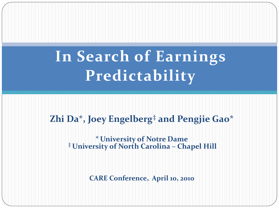# **In Search of Earnings Predictability**

#### **Zhi Da\*, Joey Engelberg‡ and Pengjie Gao\***

### **\*University of Notre Dame ‡ University of North Carolina – Chapel Hill**

**CARE Conference, April 10, 2010**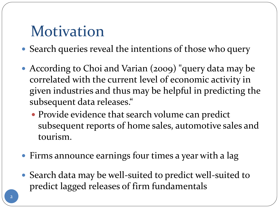### Motivation

- Search queries reveal the intentions of those who query
- According to Choi and Varian (2009) "query data may be correlated with the current level of economic activity in given industries and thus may be helpful in predicting the subsequent data releases."
	- Provide evidence that search volume can predict subsequent reports of home sales, automotive sales and tourism.
- Firms announce earnings four times a year with a lag
- Search data may be well-suited to predict well-suited to predict lagged releases of firm fundamentals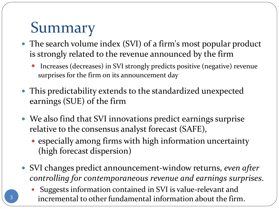# Summary

- The search volume index (SVI) of a firm's most popular product is strongly related to the revenue announced by the firm
	- Increases (decreases) in SVI strongly predicts positive (negative) revenue surprises for the firm on its announcement day
- This predictability extends to the standardized unexpected earnings (SUE) of the firm
- We also find that SVI innovations predict earnings surprise relative to the consensus analyst forecast (SAFE),
	- especially among firms with high information uncertainty (high forecast dispersion)
- SVI changes predict announcement-window returns, *even after controlling for contemporaneous revenue and earnings surprises*.
	- Suggests information contained in SVI is value-relevant and incremental to other fundamental information about the firm. <sup>3</sup>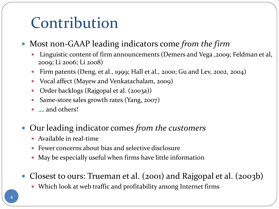# Contribution

- Most non-GAAP leading indicators come *from the firm*
	- Linguistic content of firm announcements (Demers and Vega ,2009; Feldman et al, 2009; Li 2006; Li 2008)
	- Firm patents (Deng, et al., 1999; Hall et al., 2000; Gu and Lev, 2002, 2004)
	- Vocal affect (Mayew and Venkatachalam, 2009)
	- Order backlogs (Rajgopal et al. (2003a))
	- Same-store sales growth rates (Yang, 2007)
	- ... and others!
- Our leading indicator comes *from the customers*
	- Available in real-time
	- Fewer concerns about bias and selective disclosure
	- May be especially useful when firms have little information
- Closest to ours: Trueman et al. (2001) and Rajgopal et al. (2003b)
	- Which look at web traffic and profitability among Internet firms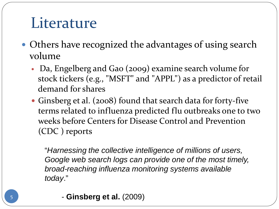### **Literature**

- Others have recognized the advantages of using search volume
	- Da, Engelberg and Gao (2009) examine search volume for stock tickers (e.g., "MSFT" and "APPL") as a predictor of retail demand for shares
	- Ginsberg et al. (2008) found that search data for forty-five terms related to influenza predicted flu outbreaks one to two weeks before Centers for Disease Control and Prevention (CDC ) reports

"*Harnessing the collective intelligence of millions of users, Google web search logs can provide one of the most timely, broad-reaching influenza monitoring systems available today*."

- **Ginsberg et al.** (2009)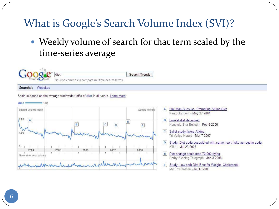#### What is Google's Search Volume Index (SVI)?

 Weekly volume of search for that term scaled by the time-series average

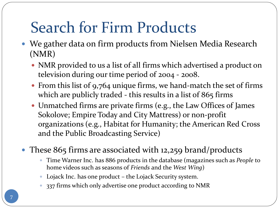# Search for Firm Products

- We gather data on firm products from Nielsen Media Research (NMR)
	- NMR provided to us a list of all firms which advertised a product on television during our time period of 2004 - 2008.
	- From this list of 9,764 unique firms, we hand-match the set of firms which are publicly traded - this results in a list of 865 firms
	- Unmatched firms are private firms (e.g., the Law Offices of James Sokolove; Empire Today and City Mattress) or non-profit organizations (e.g., Habitat for Humanity; the American Red Cross and the Public Broadcasting Service)
- These 865 firms are associated with 12,259 brand/products
	- Time Warner Inc. has 886 products in the database (magazines such as *People* to home videos such as seasons of *Friends* and the *West Wing*)
	- Lojack Inc. has one product the Lojack Security system.
	- 337 firms which only advertise one product according to NMR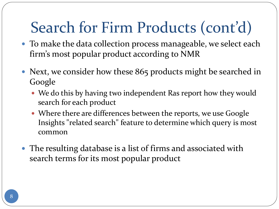# Search for Firm Products (cont'd)

- To make the data collection process manageable, we select each firm's most popular product according to NMR
- Next, we consider how these 865 products might be searched in Google
	- We do this by having two independent Ras report how they would search for each product
	- Where there are differences between the reports, we use Google Insights "related search" feature to determine which query is most common
- The resulting database is a list of firms and associated with search terms for its most popular product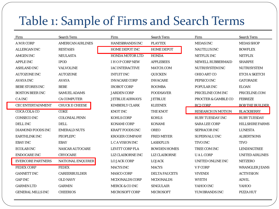### Table 1: Sample of Firms and Search Terms

| Firm                     | <b>Search Term</b>       | Firm                      | <b>Search Term</b>   | Firm                      | <b>Search Term</b>     |
|--------------------------|--------------------------|---------------------------|----------------------|---------------------------|------------------------|
| <b>AMRCORP</b>           | <b>AMERICAN AIRLINES</b> | <b>HANESBRANDS INC</b>    | <b>PLAYTEX</b>       | <b>MIDAS INC</b>          | <b>MIDAS SHOP</b>      |
| <b>ALLERGAN INC</b>      | <b>RESTASIS</b>          | HOME DEPOT INC            | <b>HOME DEPOT</b>    | <b>NAUTILUS INC</b>       | <b>BOWFLEX</b>         |
| <b>AMGEN INC</b>         | <b>NEULASTA</b>          | <b>HONDA MOTOR LTD</b>    | <b>HONDA</b>         | NETFLIX INC               | <b>NETFLIX</b>         |
| <b>APPLE INC</b>         | <b>IPOD</b>              | I H O P CORP NEW          | <b>APPLEBEES</b>     | <b>NEWELL RUBBERMAID</b>  | <b>SHARPIE</b>         |
| <b>ASHLAND INC</b>       | <b>VALVOLINE</b>         | <b>IAC INTERACTIVE</b>    | MATCH.COM            | NUTRISYSTEM INC           | <b>NUTRISYSTEM</b>     |
| <b>AUTOZONE INC</b>      | <b>AUTOZONE</b>          | <b>INTUIT INC</b>         | <b>QUICKEN</b>       | <b>OHIO ART CO</b>        | ETCH A SKETCH          |
| <b>AVAYA INC</b>         | <b>AVAYA</b>             | <b>INVACARE CORP</b>      | <b>INVACARE</b>      | PEPSICO INC               | <b>GATORADE</b>        |
| <b>BEBE STORES INC</b>   | <b>BEBE</b>              | <b>IROBOT CORP</b>        | <b>ROOMBA</b>        | POPULAR INC               | <b>ELOAN</b>           |
| <b>BOSTON BEER INC</b>   | <b>SAMUEL ADAMS</b>      | <b>JARDEN CORP</b>        | <b>FOODSAVER</b>     | PRICELINE COM INC         | PRICELINE.COM          |
| C A INC                  | <b>CA COMPUTER</b>       | <b>JETBLUE AIRWAYS</b>    | <b>JETBLUE</b>       | PROCTER & GAMBLE CO       | <b>FEBREZE</b>         |
| CEC ENTERTAINMENT        | <b>CHUCK E CHEESE</b>    | KIMBERLY CLARK            | <b>KLEENEX</b>       | <b>RC2 CORP</b>           | <b>BOB THE BUILDER</b> |
| COCA COLA CO             | <b>COKE</b>              | <b>KNOT INC</b>           | <b>THE KNOT</b>      | <b>RESEARCH IN MOTION</b> | <b>BLACKBERRY</b>      |
| <b>CONSECO INC</b>       | <b>COLONIAL PENN</b>     | <b>KOHLS CORP</b>         | <b>KOHLS</b>         | <b>RUBY TUESDAY INC</b>   | <b>RUBY TUESDAY</b>    |
| DELL INC                 | <b>DELL</b>              | <b>KONAMI CORP</b>        | <b>KONAMI</b>        | <b>SARA LEE CORP</b>      | <b>HILLSHIRE FARMS</b> |
| DIAMOND FOODS INC        | <b>EMERALD NUTS</b>      | <b>KRAFT FOODS INC</b>    | <b>OREO</b>          | <b>SEPRACOR INC</b>       | <b>LUNESTA</b>         |
| <b>EARTHLINK INC</b>     | <b>PEOPLEPC</b>          | <b>KROGER COMPANY</b>     | <b>FRED MEYER</b>    | <b>SUPERVALU INC</b>      | <b>ALBERTSONS</b>      |
| <b>EBAY INC</b>          | <b>EBAY</b>              | L C A VISION INC          | <b>LASIKPLUS</b>     | <b>TIVO INC</b>           | <b>TIVO</b>            |
| <b>ECOLAB INC</b>        | <b>NASCAR AUTOCARE</b>   | <b>LEVITT CORP FLA</b>    | <b>BOWDEN HOMES</b>  | TREE COM INC              | <b>LENDINGTREE</b>     |
| <b>ENDOCARE INC</b>      | <b>CRYOCARE</b>          | LIZ CLAIBORNE INC         | <b>LIZ CLAIBORNE</b> | <b>UALCORP</b>            | <b>UNITED AIRLINES</b> |
| <b>EVERCORE PARTNERS</b> | NATIONAL ENQUIRER        | <b>LO JACK CORP</b>       | <b>LOJACK</b>        | UNITED ONLINE INC         | <b>NETZERO</b>         |
| <b>FEDEX CORP</b>        | <b>FEDEX</b>             | <b>MACYS INC</b>          | <b>MACYS</b>         | <b>VFCORP</b>             | <b>WRANGLER JEANS</b>  |
| <b>GANNETT INC</b>       | <b>CAREERBUILDER</b>     | <b>MASCO CORP</b>         | <b>DELTA FAUCETS</b> | <b>VIVENDI</b>            | <b>ACTIVISION</b>      |
| <b>GAP INC</b>           | <b>OLD NAVY</b>          | <b>MCDONALDS CORP</b>     | <b>MCDONALDS</b>     | <b>WYETH</b>              | <b>ADVIL</b>           |
| <b>GARMIN LTD</b>        | <b>GARMIN</b>            | <b>MERCK &amp; CO INC</b> | <b>SINGULAIR</b>     | YAHOO INC                 | YAHOO                  |
| <b>GENERAL MILLS INC</b> | <b>CHEERIOS</b>          | MICROSOFT CORP            | <b>MICROSOFT</b>     | YUM BRANDS INC            | <b>PIZZA HUT</b>       |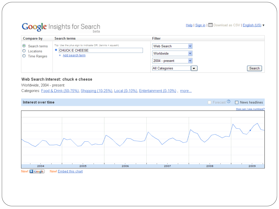#### **Google** Insights for Search

Help | Sign in | | Download as CSV | English (US)  $\blacktriangledown$ 

|                                                           | <b>PLOTO</b>                                                                                                                            |                                                                                         |                         |                        |
|-----------------------------------------------------------|-----------------------------------------------------------------------------------------------------------------------------------------|-----------------------------------------------------------------------------------------|-------------------------|------------------------|
| <b>Compare by</b>                                         | <b>Search terms</b>                                                                                                                     | <b>Filter</b>                                                                           |                         |                        |
| ◉<br>Search terms<br>O<br>Locations<br><b>Time Ranges</b> | Tip: Use the plus sign to indicate OR. (tennis + squash)<br>• CHUCK E CHEESE<br>+ Add search term                                       | Web Search<br>Worldwide<br>2004 - present<br>$\checkmark$<br><b>All Categories</b><br>▼ |                         | Search                 |
| Worldwide, 2004 - present                                 | Web Search Interest: chuck e cheese<br>Categories: Food & Drink (50-75%), Shopping (10-25%), Local (0-10%), Entertainment (0-10%), more |                                                                                         |                         |                        |
| Interest over time                                        |                                                                                                                                         |                                                                                         | $\Box$ Forecast $\odot$ | News headlines         |
|                                                           |                                                                                                                                         |                                                                                         |                         | How can I see numbers? |
|                                                           |                                                                                                                                         |                                                                                         |                         |                        |
|                                                           |                                                                                                                                         |                                                                                         |                         |                        |

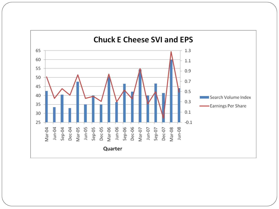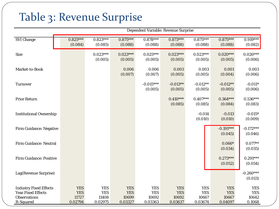#### Table 3: Revenue Surprise

|                                                                                                       | Dependent Variable: Revenue Surprise         |                                              |                                              |                                              |                                              |                                              |                                              |                                             |
|-------------------------------------------------------------------------------------------------------|----------------------------------------------|----------------------------------------------|----------------------------------------------|----------------------------------------------|----------------------------------------------|----------------------------------------------|----------------------------------------------|---------------------------------------------|
| <b>SVI Change</b>                                                                                     | $0.825***$<br>(0.084)                        | $0.823***$<br>(0.085)                        | $0.875***$<br>(0.088)                        | $0.878***$<br>(0.088)                        | $0.873***$<br>(0.088)                        | $0.875***$<br>(0.088)                        | $0.875***$<br>(0.088)                        | $0.919***$<br>(0.082)                       |
| <b>Size</b>                                                                                           |                                              | $0.023***$<br>(0.005)                        | $0.023***$<br>(0.005)                        | $0.025***$<br>(0.005)                        | $0.023***$<br>(0.005)                        | $0.023***$<br>(0.005)                        | $0.020***$<br>(0.005)                        | $0.026***$<br>(0.006)                       |
| Market-to-Book                                                                                        |                                              |                                              | 0.006<br>(0.007)                             | 0.006<br>(0.007)                             | 0.003<br>(0.005)                             | 0.003<br>(0.005)                             | 0.001<br>(0.004)                             | 0.003<br>(0.006)                            |
| <b>Turnover</b>                                                                                       |                                              |                                              |                                              | $-0.015***$<br>(0.005)                       | $-0.013**$<br>(0.005)                        | $-0.012**$<br>(0.005)                        | $-0.012**$<br>(0.005)                        | $-0.011*$<br>(0.006)                        |
| <b>Prior Return</b>                                                                                   |                                              |                                              |                                              |                                              | $0.410***$<br>(0.085)                        | $0.407***$<br>(0.085)                        | $0.364***$<br>(0.084)                        | $0.536***$<br>(0.083)                       |
| <b>Institutional Ownership</b>                                                                        |                                              |                                              |                                              |                                              |                                              | $-0.014$<br>(0.010)                          | $-0.013$<br>(0.010)                          | $-0.015*$<br>(0.009)                        |
| <b>Firm Guidance: Negative</b>                                                                        |                                              |                                              |                                              |                                              |                                              |                                              | $-0.191***$<br>(0.045)                       | $-0.172***$<br>(0.046)                      |
| Firm Guidance: Neutral                                                                                |                                              |                                              |                                              |                                              |                                              |                                              | $0.066*$<br>(0.034)                          | $0.077**$<br>(0.035)                        |
| <b>Firm Guidance: Positive</b>                                                                        |                                              |                                              |                                              |                                              |                                              |                                              | $0.273***$<br>(0.052)                        | $0.291***$<br>(0.054)                       |
| Lag(Revenue Surprise)                                                                                 |                                              |                                              |                                              |                                              |                                              |                                              |                                              | $-0.260***$<br>(0.013)                      |
| <b>Industry Fixed Effects</b><br><b>Year Fixed Effects</b><br><b>Observations</b><br><b>R-Squared</b> | <b>YES</b><br><b>YES</b><br>11727<br>0.02794 | <b>YES</b><br><b>YES</b><br>11408<br>0.02975 | <b>YES</b><br><b>YES</b><br>10699<br>0.03327 | <b>YES</b><br><b>YES</b><br>10692<br>0.03363 | <b>YES</b><br><b>YES</b><br>10692<br>0.03637 | <b>YES</b><br><b>YES</b><br>10667<br>0.03674 | <b>YES</b><br><b>YES</b><br>10667<br>0.04097 | <b>YES</b><br><b>YES</b><br>10642<br>0.1068 |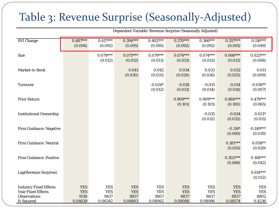#### Table 3: Revenue Surprise (Seasonally-Adjusted)

|                                                                                                | Dependent Variable: Revenue Surprise (Seasonally Adjusted) |                                             |                                             |                                             |                                             |                                             |                                             |                                            |
|------------------------------------------------------------------------------------------------|------------------------------------------------------------|---------------------------------------------|---------------------------------------------|---------------------------------------------|---------------------------------------------|---------------------------------------------|---------------------------------------------|--------------------------------------------|
| <b>SVI Change</b>                                                                              | $0.487***$<br>(0.094)                                      | $0.417***$<br>(0.092)                       | $0.394***$<br>(0.095)                       | $0.402***$<br>(0.095)                       | $0.370***$<br>(0.092)                       | $0.366***$<br>(0.092)                       | $0.357***$<br>(0.091)                       | $0.116***$<br>(0.049)                      |
| <b>Size</b>                                                                                    |                                                            | $0.079***$<br>(0.012)                       | $0.075***$<br>(0.012)                       | $0.079***$<br>(0.013)                       | $0.074***$<br>(0.013)                       | $0.074***$<br>(0.013)                       | $0.068***$<br>(0.013)                       | $0.025***$<br>(0.006)                      |
| Market-to-Book                                                                                 |                                                            |                                             | 0.041<br>(0.030)                            | 0.042<br>(0.031)                            | 0.034<br>(0.026)                            | 0.033<br>(0.026)                            | 0.032<br>(0.025)                            | 0.011<br>(0.009)                           |
| <b>Turnover</b>                                                                                |                                                            |                                             |                                             | $-0.024*$<br>(0.012)                        | $-0.018$<br>(0.013)                         | $-0.015$<br>(0.014)                         | $-0.014$<br>(0.014)                         | $-0.016**$<br>(0.007)                      |
| <b>Prior Return</b>                                                                            |                                                            |                                             |                                             |                                             | $0.909***$<br>(0.101)                       | $0.909***$<br>(0.101)                       | $0.884***$<br>(0.100)                       | $0.479***$<br>(0.065)                      |
| <b>Institutional Ownership</b>                                                                 |                                                            |                                             |                                             |                                             |                                             | $-0.035$<br>(0.032)                         | $-0.034$<br>(0.032)                         | $0.021*$<br>(0.011)                        |
| <b>Firm Guidance: Negative</b>                                                                 |                                                            |                                             |                                             |                                             |                                             |                                             | $-0.116*$<br>(0.069)                        | $-0.149***$<br>(0.039)                     |
| Firm Guidance: Neutral                                                                         |                                                            |                                             |                                             |                                             |                                             |                                             | $0.181***$<br>(0.055)                       | $0.058**$<br>(0.029)                       |
| <b>Firm Guidance: Positive</b>                                                                 |                                                            |                                             |                                             |                                             |                                             |                                             | $0.302***$<br>(0.068)                       | $0.168***$<br>(0.042)                      |
| Lag(Revenue Surprise)                                                                          |                                                            |                                             |                                             |                                             |                                             |                                             |                                             | $0.614***$<br>(0.012)                      |
| <b>Industry Fixed Effects</b><br><b>Year Fixed Effects</b><br><b>Observations</b><br>R-Squared | <b>YES</b><br><b>YES</b><br>9516<br>0.04639                | <b>YES</b><br><b>YES</b><br>9437<br>0.06342 | <b>YES</b><br><b>YES</b><br>8857<br>0.06803 | <b>YES</b><br><b>YES</b><br>8857<br>0.08062 | <b>YES</b><br><b>YES</b><br>8837<br>0.08086 | <b>YES</b><br><b>YES</b><br>8837<br>0.08086 | <b>YES</b><br><b>YES</b><br>8837<br>0.08574 | <b>YES</b><br><b>YES</b><br>8802<br>0.4236 |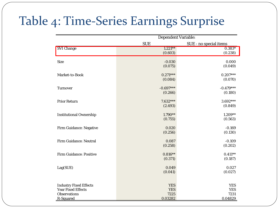### Table 4: Time-Series Earnings Surprise

|                                | <b>Dependent Variable:</b> |                        |  |  |  |
|--------------------------------|----------------------------|------------------------|--|--|--|
|                                | <b>SUE</b>                 | SUE - no special items |  |  |  |
| <b>SVI Change</b>              | $1.221**$                  | $0.383*$               |  |  |  |
|                                | (0.603)                    | (0.238)                |  |  |  |
| <b>Size</b>                    | $-0.030$                   | 0.000                  |  |  |  |
|                                | (0.075)                    | (0.049)                |  |  |  |
| Market-to-Book                 | $0.271***$                 | $0.207***$             |  |  |  |
|                                | (0.084)                    | (0.070)                |  |  |  |
| <b>Turnover</b>                | $-0.697***$                | $-0.479***$            |  |  |  |
|                                | (0.266)                    | (0.180)                |  |  |  |
| <b>Prior Return</b>            | $7.632***$                 | $3.692***$             |  |  |  |
|                                | (2.493)                    | (0.849)                |  |  |  |
| <b>Institutional Ownership</b> | $1.790**$                  | $1.209**$              |  |  |  |
|                                | (0.755)                    | (0.563)                |  |  |  |
| <b>Firm Guidance: Negative</b> | 0.020                      | $-0.169$               |  |  |  |
|                                | (0.256)                    | (0.130)                |  |  |  |
| <b>Firm Guidance: Neutral</b>  | 0.087                      | $-0.109$               |  |  |  |
|                                | (0.258)                    | (0.202)                |  |  |  |
| <b>Firm Guidance: Positive</b> | $0.816**$                  | $0.411**$              |  |  |  |
|                                | (0.371)                    | (0.187)                |  |  |  |
| Lag(SUE)                       | 0.049                      | 0.027                  |  |  |  |
|                                | (0.041)                    | (0.027)                |  |  |  |
|                                |                            |                        |  |  |  |
| <b>Industry Fixed Effects</b>  | <b>YES</b>                 | <b>YES</b>             |  |  |  |
| <b>Year Fixed Effects</b>      | <b>YES</b>                 | <b>YES</b>             |  |  |  |
| <b>Observations</b>            | 7225                       | 7231                   |  |  |  |
| R-Squared                      | 0.03282                    | 0.04829                |  |  |  |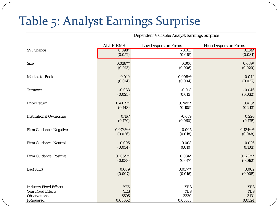### Table 5: Analyst Earnings Surprise

|                                | <b>ALL FIRMS</b> | <b>Low Dispersion Firms</b> | <b>High Dispersion Firms</b> |
|--------------------------------|------------------|-----------------------------|------------------------------|
| <b>SVI Change</b>              | $0.098*$         | $-0.017$                    | $0.134*$                     |
|                                | (0.052)          | (0.015)                     | (0.081)                      |
| <b>Size</b>                    | $0.028**$        | 0.000                       | $0.039*$                     |
|                                | (0.013)          | (0.006)                     | (0.020)                      |
| Market-to-Book                 | 0.010            | $-0.008**$                  | 0.042                        |
|                                | (0.014)          | (0.004)                     | (0.027)                      |
| <b>Turnover</b>                | $-0.033$         | $-0.018$                    | $-0.046$                     |
|                                | (0.023)          | (0.013)                     | (0.032)                      |
| <b>Prior Return</b>            | $0.411***$       | $0.249**$                   | $0.418*$                     |
|                                | (0.143)          | (0.105)                     | (0.213)                      |
| <b>Institutional Ownership</b> | 0.167            | $-0.079$                    | 0.226                        |
|                                | (0.129)          | (0.060)                     | (0.175)                      |
| <b>Firm Guidance: Negative</b> | $0.073***$       | $-0.005$                    | $0.134***$                   |
|                                | (0.026)          | (0.018)                     | (0.048)                      |
| <b>Firm Guidance: Neutral</b>  | 0.005            | $-0.008$                    | 0.026                        |
|                                | (0.034)          | (0.010)                     | (0.103)                      |
| <b>Firm Guidance: Positive</b> | $0.105***$       | $0.034*$                    | $0.173***$                   |
|                                | (0.033)          | (0.017)                     | (0.062)                      |
| Lag(SUE)                       | 0.009            | $0.037**$                   | 0.002                        |
|                                | (0.007)          | (0.016)                     | (0.005)                      |
|                                |                  |                             |                              |
| <b>Industry Fixed Effects</b>  | <b>YES</b>       | <b>YES</b>                  | <b>YES</b>                   |
| <b>Year Fixed Effects</b>      | <b>YES</b>       | <b>YES</b>                  | <b>YES</b>                   |
| <b>Observations</b>            | 6595             | 3330                        | 3131                         |
| R-Squared                      | 0.03052          | 0.05533                     | 0.0324                       |

Dependent Variable: Analyst Earnings Surprise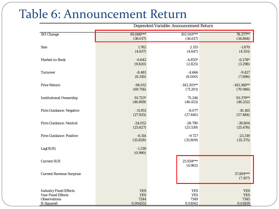### Table 6: Announcement Return

|                                 | Dependent Variable: Announcement Return |                      |                      |  |  |
|---------------------------------|-----------------------------------------|----------------------|----------------------|--|--|
| <b>SVI Change</b>               | 95.086***                               | $102.041***$         | 78.377**             |  |  |
|                                 | (36.017)                                | (36.617)             | (34.864)             |  |  |
| <b>Size</b>                     | 1.762                                   | 2.155                | $-1.870$             |  |  |
|                                 | (4.637)                                 | (4.647)              | (4.551)              |  |  |
| Market-to-Book                  | $-6.642$                                | $-4.855*$            | $-6.278*$            |  |  |
|                                 | (9.820)                                 | (2.825)              | (3.298)              |  |  |
| <b>Turnover</b>                 | $-8.481$                                | $-4.666$             | $-9.427$             |  |  |
|                                 | (8.310)                                 | (8.000)              | (7.896)              |  |  |
| <b>Prior Return</b>             | $-94.012$                               | $-143.205**$         | $-143.368**$         |  |  |
|                                 | (69.756)                                | (71.201)             | (70.946)             |  |  |
| <b>Institutional Ownership</b>  | 91.723*                                 | 75.246               | 93.379**             |  |  |
|                                 | (46.869)                                | (46.453)             | (46.252)             |  |  |
| Firm Guidance: Negative         | $-11.951$                               | $-8.077$             | $-10.165$            |  |  |
|                                 | (27.925)                                | (27.440)             | (27.484)             |  |  |
| Firm Guidance: Neutral          | $-24.052$                               | $-28.790$            | $-39.804$            |  |  |
|                                 | (25.627)                                | (25.539)             | (25.476)             |  |  |
| <b>Firm Guidance: Positive</b>  | $-6.114$                                | $-9.727$             | $-23.319$            |  |  |
|                                 | (35.828)                                | (35.809)             | (35.375)             |  |  |
| Lag(SUE)                        | $-1.339$<br>(0.990)                     |                      |                      |  |  |
| <b>Current SUE</b>              |                                         | 25.934***<br>(4.982) |                      |  |  |
| <b>Current Revenue Surprise</b> |                                         |                      | 57.891***<br>(7.107) |  |  |
| <b>Industry Fixed Effects</b>   | <b>YES</b>                              | <b>YES</b>           | <b>YES</b>           |  |  |
| <b>Year Fixed Effects</b>       | <b>YES</b>                              | <b>YES</b>           | <b>YES</b>           |  |  |
| <b>Observations</b>             | 7244                                    | 7349                 | 7345                 |  |  |
| R-Squared                       | 0.004551                                | 0.01062              | 0.01459              |  |  |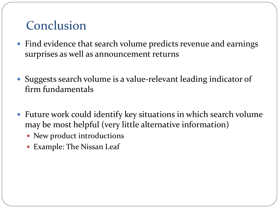#### Conclusion

- Find evidence that search volume predicts revenue and earnings surprises as well as announcement returns
- Suggests search volume is a value-relevant leading indicator of firm fundamentals
- Future work could identify key situations in which search volume may be most helpful (very little alternative information)
	- New product introductions
	- Example: The Nissan Leaf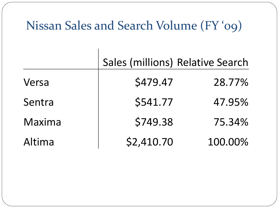### Nissan Sales and Search Volume (FY '09)

|        | Sales (millions) Relative Search |         |
|--------|----------------------------------|---------|
| Versa  | \$479.47                         | 28.77%  |
| Sentra | \$541.77                         | 47.95%  |
| Maxima | \$749.38                         | 75.34%  |
| Altima | \$2,410.70                       | 100.00% |